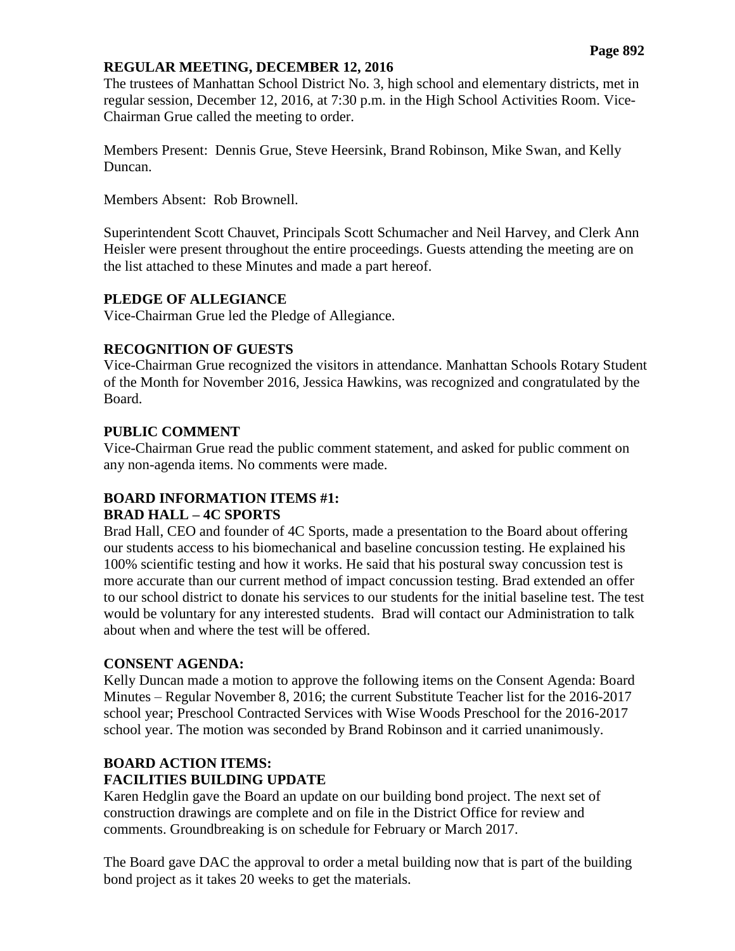#### **REGULAR MEETING, DECEMBER 12, 2016**

The trustees of Manhattan School District No. 3, high school and elementary districts, met in regular session, December 12, 2016, at 7:30 p.m. in the High School Activities Room. Vice-Chairman Grue called the meeting to order.

Members Present: Dennis Grue, Steve Heersink, Brand Robinson, Mike Swan, and Kelly Duncan.

Members Absent: Rob Brownell.

Superintendent Scott Chauvet, Principals Scott Schumacher and Neil Harvey, and Clerk Ann Heisler were present throughout the entire proceedings. Guests attending the meeting are on the list attached to these Minutes and made a part hereof.

## **PLEDGE OF ALLEGIANCE**

Vice-Chairman Grue led the Pledge of Allegiance.

## **RECOGNITION OF GUESTS**

Vice-Chairman Grue recognized the visitors in attendance. Manhattan Schools Rotary Student of the Month for November 2016, Jessica Hawkins, was recognized and congratulated by the Board.

## **PUBLIC COMMENT**

Vice-Chairman Grue read the public comment statement, and asked for public comment on any non-agenda items. No comments were made.

# **BOARD INFORMATION ITEMS #1:**

## **BRAD HALL – 4C SPORTS**

Brad Hall, CEO and founder of 4C Sports, made a presentation to the Board about offering our students access to his biomechanical and baseline concussion testing. He explained his 100% scientific testing and how it works. He said that his postural sway concussion test is more accurate than our current method of impact concussion testing. Brad extended an offer to our school district to donate his services to our students for the initial baseline test. The test would be voluntary for any interested students. Brad will contact our Administration to talk about when and where the test will be offered.

## **CONSENT AGENDA:**

Kelly Duncan made a motion to approve the following items on the Consent Agenda: Board Minutes – Regular November 8, 2016; the current Substitute Teacher list for the 2016-2017 school year; Preschool Contracted Services with Wise Woods Preschool for the 2016-2017 school year. The motion was seconded by Brand Robinson and it carried unanimously.

# **BOARD ACTION ITEMS:**

# **FACILITIES BUILDING UPDATE**

Karen Hedglin gave the Board an update on our building bond project. The next set of construction drawings are complete and on file in the District Office for review and comments. Groundbreaking is on schedule for February or March 2017.

The Board gave DAC the approval to order a metal building now that is part of the building bond project as it takes 20 weeks to get the materials.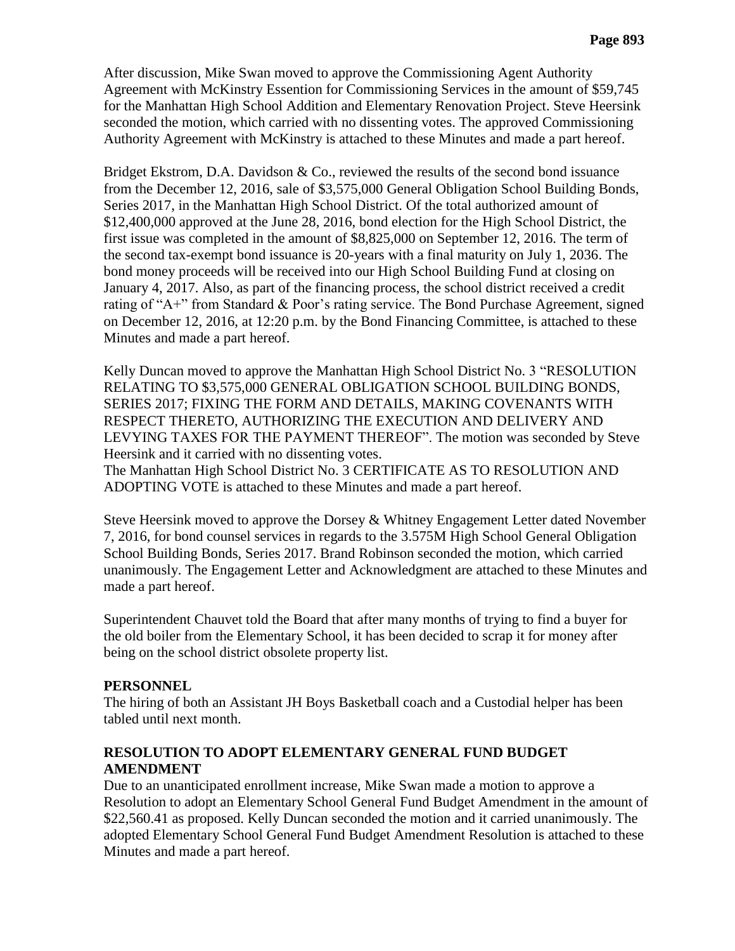After discussion, Mike Swan moved to approve the Commissioning Agent Authority Agreement with McKinstry Essention for Commissioning Services in the amount of \$59,745 for the Manhattan High School Addition and Elementary Renovation Project. Steve Heersink seconded the motion, which carried with no dissenting votes. The approved Commissioning Authority Agreement with McKinstry is attached to these Minutes and made a part hereof.

Bridget Ekstrom, D.A. Davidson & Co., reviewed the results of the second bond issuance from the December 12, 2016, sale of \$3,575,000 General Obligation School Building Bonds, Series 2017, in the Manhattan High School District. Of the total authorized amount of \$12,400,000 approved at the June 28, 2016, bond election for the High School District, the first issue was completed in the amount of \$8,825,000 on September 12, 2016. The term of the second tax-exempt bond issuance is 20-years with a final maturity on July 1, 2036. The bond money proceeds will be received into our High School Building Fund at closing on January 4, 2017. Also, as part of the financing process, the school district received a credit rating of "A+" from Standard & Poor's rating service. The Bond Purchase Agreement, signed on December 12, 2016, at 12:20 p.m. by the Bond Financing Committee, is attached to these Minutes and made a part hereof.

Kelly Duncan moved to approve the Manhattan High School District No. 3 "RESOLUTION RELATING TO \$3,575,000 GENERAL OBLIGATION SCHOOL BUILDING BONDS, SERIES 2017; FIXING THE FORM AND DETAILS, MAKING COVENANTS WITH RESPECT THERETO, AUTHORIZING THE EXECUTION AND DELIVERY AND LEVYING TAXES FOR THE PAYMENT THEREOF". The motion was seconded by Steve Heersink and it carried with no dissenting votes.

The Manhattan High School District No. 3 CERTIFICATE AS TO RESOLUTION AND ADOPTING VOTE is attached to these Minutes and made a part hereof.

Steve Heersink moved to approve the Dorsey & Whitney Engagement Letter dated November 7, 2016, for bond counsel services in regards to the 3.575M High School General Obligation School Building Bonds, Series 2017. Brand Robinson seconded the motion, which carried unanimously. The Engagement Letter and Acknowledgment are attached to these Minutes and made a part hereof.

Superintendent Chauvet told the Board that after many months of trying to find a buyer for the old boiler from the Elementary School, it has been decided to scrap it for money after being on the school district obsolete property list.

#### **PERSONNEL**

The hiring of both an Assistant JH Boys Basketball coach and a Custodial helper has been tabled until next month.

#### **RESOLUTION TO ADOPT ELEMENTARY GENERAL FUND BUDGET AMENDMENT**

Due to an unanticipated enrollment increase, Mike Swan made a motion to approve a Resolution to adopt an Elementary School General Fund Budget Amendment in the amount of \$22,560.41 as proposed. Kelly Duncan seconded the motion and it carried unanimously. The adopted Elementary School General Fund Budget Amendment Resolution is attached to these Minutes and made a part hereof.